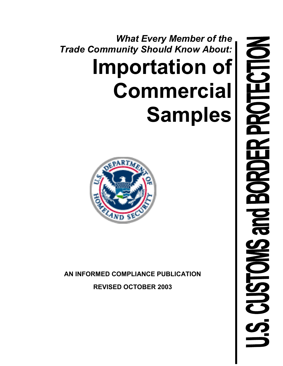# *What Every Member of the Trade Community Should Know About:* **Importation of Commercial Samples**



**AN INFORMED COMPLIANCE PUBLICATION REVISED OCTOBER 2003**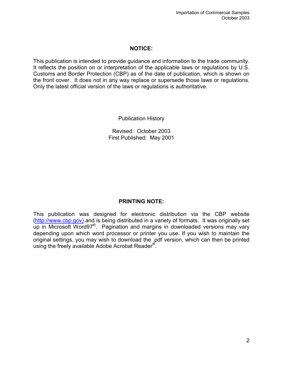#### **NOTICE:**

This publication is intended to provide guidance and information to the trade community. It reflects the position on or interpretation of the applicable laws or regulations by U.S. Customs and Border Protection (CBP) as of the date of publication, which is shown on the front cover. It does not in any way replace or supersede those laws or regulations. Only the latest official version of the laws or regulations is authoritative.

Publication History

Revised: October 2003 First Published: May 2001

#### **PRINTING NOTE:**

This publication was designed for electronic distribution via the CBP website (http://www.cbp.gov) and is being distributed in a variety of formats. It was originally set up in Microsoft Word97®. Pagination and margins in downloaded versions may vary depending upon which word processor or printer you use. If you wish to maintain the original settings, you may wish to download the .pdf version, which can then be printed using the freely available Adobe Acrobat Reader®.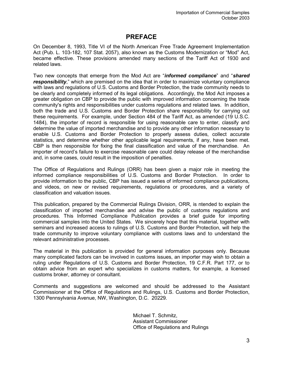#### **PREFACE**

On December 8, 1993, Title VI of the North American Free Trade Agreement Implementation Act (Pub. L. 103-182, 107 Stat. 2057), also known as the Customs Modernization or "Mod" Act, became effective. These provisions amended many sections of the Tariff Act of 1930 and related laws.

Two new concepts that emerge from the Mod Act are "*informed compliance*" and "*shared responsibility*," which are premised on the idea that in order to maximize voluntary compliance with laws and regulations of U.S. Customs and Border Protection, the trade community needs to be clearly and completely informed of its legal obligations. Accordingly, the Mod Act imposes a greater obligation on CBP to provide the public with improved information concerning the trade community's rights and responsibilities under customs regulations and related laws. In addition, both the trade and U.S. Customs and Border Protection share responsibility for carrying out these requirements. For example, under Section 484 of the Tariff Act, as amended (19 U.S.C. 1484), the importer of record is responsible for using reasonable care to enter, classify and determine the value of imported merchandise and to provide any other information necessary to enable U.S. Customs and Border Protection to properly assess duties, collect accurate statistics, and determine whether other applicable legal requirements, if any, have been met. CBP is then responsible for fixing the final classification and value of the merchandise. An importer of record's failure to exercise reasonable care could delay release of the merchandise and, in some cases, could result in the imposition of penalties.

The Office of Regulations and Rulings (ORR) has been given a major role in meeting the informed compliance responsibilities of U.S. Customs and Border Protection. In order to provide information to the public, CBP has issued a series of informed compliance publications, and videos, on new or revised requirements, regulations or procedures, and a variety of classification and valuation issues.

This publication, prepared by the Commercial Rulings Division, ORR, is ntended to explain the classification of imported merchandise and advise the public of customs regulations and procedures. This Informed Compliance Publication provides a brief guide for importing commercial samples into the United States. We sincerely hope that this material, together with seminars and increased access to rulings of U.S. Customs and Border Protection, will help the trade community to improve voluntary compliance with customs laws and to understand the relevant administrative processes.

The material in this publication is provided for general information purposes only. Because many complicated factors can be involved in customs issues, an importer may wish to obtain a ruling under Regulations of U.S. Customs and Border Protection, 19 C.F.R. Part 177, or to obtain advice from an expert who specializes in customs matters, for example, a licensed customs broker, attorney or consultant.

Comments and suggestions are welcomed and should be addressed to the Assistant Commissioner at the Office of Regulations and Rulings, U.S. Customs and Border Protection, 1300 Pennsylvania Avenue, NW, Washington, D.C. 20229.

> Michael T. Schmitz, Assistant Commissioner Office of Regulations and Rulings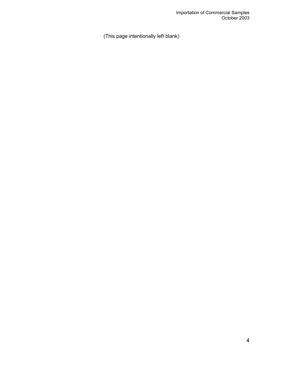(This page intentionally left blank)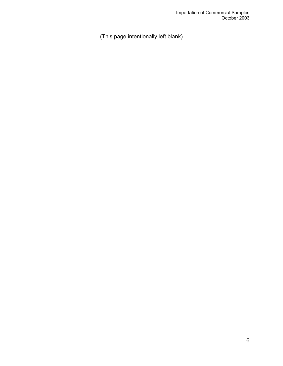(This page intentionally left blank)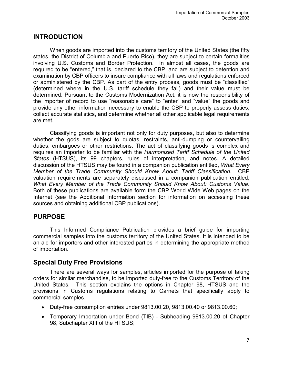#### <span id="page-6-0"></span>**INTRODUCTION**

When goods are imported into the customs territory of the United States (the fifty states, the District of Columbia and Puerto Rico), they are subject to certain formalities involving U.S. Customs and Border Protection. In almost all cases, the goods are required to be "entered," that is, declared to the CBP, and are subject to detention and examination by CBP officers to insure compliance with all laws and regulations enforced or administered by the CBP. As part of the entry process, goods must be "classified" (determined where in the U.S. tariff schedule they fall) and their value must be determined. Pursuant to the Customs Modernization Act, it is now the responsibility of the importer of record to use "reasonable care" to "enter" and "value" the goods and provide any other information necessary to enable the CBP to properly assess duties, collect accurate statistics, and determine whether all other applicable legal requirements are met.

Classifying goods is important not only for duty purposes, but also to determine whether the gods are subject to quotas, restraints, anti-dumping or countervailing duties, embargoes or other restrictions. The act of classifying goods is complex and requires an importer to be familiar with the *Harmonized Tariff Schedule of the United States* (HTSUS), its 99 chapters, rules of interpretation, and notes. A detailed discussion of the HTSUS may be found in a companion publication entitled, *What Every Member of the Trade Community Should Know About: Tariff Classification*. CBP valuation requirements are separately discussed in a companion publication entitled, *What Every Member of the Trade Community Should Know About: Customs Value*. Both of these publications are available form the CBP World Wide Web pages on the Internet (see the Additional Information section for information on accessing these sources and obtaining additional CBP publications).

## <span id="page-6-1"></span>**PURPOSE**

This Informed Compliance Publication provides a brief guide for importing commercial samples into the customs territory of the United States. It is intended to be an aid for importers and other interested parties in determining the appropriate method of importation.

#### <span id="page-6-2"></span>**Special Duty Free Provisions**

There are several ways for samples, articles imported for the purpose of taking orders for similar merchandise, to be imported duty-free to the Customs Territory of the United States. This section explains the options in Chapter 98, HTSUS and the provisions in Customs regulations relating to Carnets that specifically apply to commercial samples.

- Duty-free consumption entries under 9813.00.20, 9813.00.40 or 9813.00.60;
- Temporary Importation under Bond (TIB) Subheading 9813.00.20 of Chapter 98, Subchapter XIII of the HTSUS;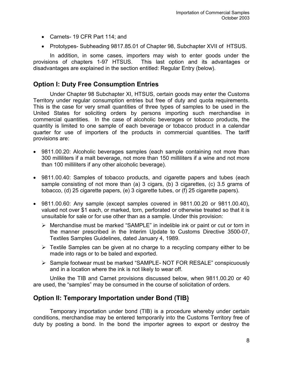- Carnets- 19 CFR Part 114; and
- Prototypes- Subheading 9817.85.01 of Chapter 98, Subchapter XVII of HTSUS.

In addition, in some cases, importers may wish to enter goods under the provisions of chapters 1-97 HTSUS. This last option and its advantages or disadvantages are explained in the section entitled: Regular Entry (below).

## <span id="page-7-0"></span>**Option I: Duty Free Consumption Entries**

Under Chapter 98 Subchapter XI, HTSUS, certain goods may enter the Customs Territory under regular consumption entries but free of duty and quota requirements. This is the case for very small quantities of three types of samples to be used in the United States for soliciting orders by persons importing such merchandise in commercial quantities. In the case of alcoholic beverages or tobacco products, the quantity is limited to one sample of each beverage or tobacco product in a calendar quarter for use of importers of the products in commercial quantities. The tariff provisions are:

- 9811.00.20: Alcoholic beverages samples (each sample containing not more than 300 milliliters if a malt beverage, not more than 150 milliliters if a wine and not more than 100 milliliters if any other alcoholic beverage).
- 9811.00.40: Samples of tobacco products, and cigarette papers and tubes (each sample consisting of not more than (a) 3 cigars, (b) 3 cigarettes, (c) 3.5 grams of tobacco, (d) 25 cigarette papers, (e) 3 cigarette tubes, or (f) 25 cigarette papers).
- 9811.00.60: Any sample (except samples covered in 9811.00.20 or 9811.00.40), valued not over \$1 each, or marked, torn, perforated or otherwise treated so that it is unsuitable for sale or for use other than as a sample. Under this provision:
	- Merchandise must be marked "SAMPLE" in indelible ink or paint or cut or torn in the manner prescribed in the Interim Update to Customs Directive 3500-07, Textiles Samples Guidelines, dated January 4, 1989.
	- $\triangleright$  Textile Samples can be given at no charge to a recycling company either to be made into rags or to be baled and exported.
	- $\triangleright$  Sample footwear must be marked "SAMPLE- NOT FOR RESALE" conspicuously and in a location where the ink is not likely to wear off.

Unlike the TIB and Carnet provisions discussed below, when 9811.00.20 or 40 are used, the "samples" may be consumed in the course of solicitation of orders.

#### <span id="page-7-1"></span>**Option II: Temporary Importation under Bond (TIB)**

Temporary importation under bond (TIB) is a procedure whereby under certain conditions, merchandise may be entered temporarily into the Customs Territory free of duty by posting a bond. In the bond the importer agrees to export or destroy the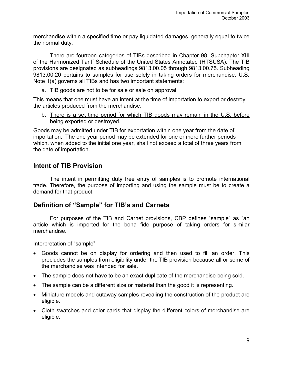merchandise within a specified time or pay liquidated damages, generally equal to twice the normal duty.

There are fourteen categories of TIBs described in Chapter 98, Subchapter XIII of the Harmonized Tariff Schedule of the United States Annotated (HTSUSA). The TIB provisions are designated as subheadings 9813.00.05 through 9813.00.75. Subheading 9813.00.20 pertains to samples for use solely in taking orders for merchandise. U.S. Note 1(a) governs all TIBs and has two important statements:

a. TIB goods are not to be for sale or sale on approval.

This means that one must have an intent at the time of importation to export or destroy the articles produced from the merchandise.

b. There is a set time period for which TIB goods may remain in the U.S. before being exported or destroyed.

Goods may be admitted under TIB for exportation within one year from the date of importation. The one year period may be extended for one or more further periods which, when added to the initial one year, shall not exceed a total of three years from the date of importation.

## <span id="page-8-0"></span>**Intent of TIB Provision**

The intent in permitting duty free entry of samples is to promote international trade. Therefore, the purpose of importing and using the sample must be to create a demand for that product.

#### <span id="page-8-1"></span>**Definition of "Sample" for TIB's and Carnets**

For purposes of the TIB and Carnet provisions, CBP defines "sample" as "an article which is imported for the bona fide purpose of taking orders for similar merchandise."

Interpretation of "sample":

- Goods cannot be on display for ordering and then used to fill an order. This precludes the samples from eligibility under the TIB provision because all or some of the merchandise was intended for sale.
- The sample does not have to be an exact duplicate of the merchandise being sold.
- The sample can be a different size or material than the good it is representing.
- Miniature models and cutaway samples revealing the construction of the product are eligible.
- Cloth swatches and color cards that display the different colors of merchandise are eligible.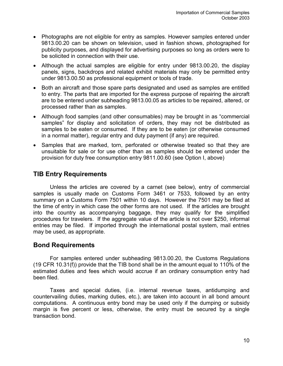- Photographs are not eligible for entry as samples. However samples entered under 9813.00.20 can be shown on television, used in fashion shows, photographed for publicity purposes, and displayed for advertising purposes so long as orders were to be solicited in connection with their use.
- Although the actual samples are eligible for entry under 9813.00.20, the display panels, signs, backdrops and related exhibit materials may only be permitted entry under 9813.00.50 as professional equipment or tools of trade.
- Both an aircraft and those spare parts designated and used as samples are entitled to entry. The parts that are imported for the express purpose of repairing the aircraft are to be entered under subheading 9813.00.05 as articles to be repaired, altered, or processed rather than as samples.
- Although food samples (and other consumables) may be brought in as "commercial samples" for display and solicitation of orders, they may not be distributed as samples to be eaten or consumed. If they are to be eaten (or otherwise consumed in a normal matter), regular entry and duty payment (if any) are required.
- Samples that are marked, torn, perforated or otherwise treated so that they are unsuitable for sale or for use other than as samples should be entered under the provision for duty free consumption entry 9811.00.60 (see Option I, above)

# <span id="page-9-0"></span>**TIB Entry Requirements**

Unless the articles are covered by a carnet (see below), entry of commercial samples is usually made on Customs Form 3461 or 7533, followed by an entry summary on a Customs Form 7501 within 10 days. However the 7501 may be filed at the time of entry in which case the other forms are not used. If the articles are brought into the country as accompanying baggage, they may qualify for the simplified procedures for travelers. If the aggregate value of the article is not over \$250, informal entries may be filed. If imported through the international postal system, mail entries may be used, as appropriate.

#### <span id="page-9-1"></span>**Bond Requirements**

For samples entered under subheading 9813.00.20, the Customs Regulations (19 CFR 10.31(f)) provide that the TIB bond shall be in the amount equal to 110% of the estimated duties and fees which would accrue if an ordinary consumption entry had been filed.

Taxes and special duties, (i.e. internal revenue taxes, antidumping and countervailing duties, marking duties, etc.), are taken into account in all bond amount computations. A continuous entry bond may be used only if the dumping or subsidy margin is five percent or less, otherwise, the entry must be secured by a single transaction bond.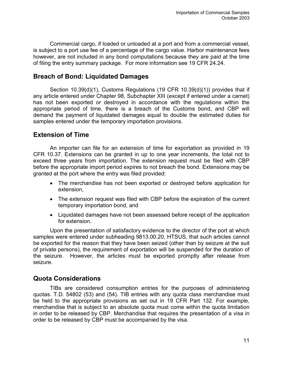Commercial cargo, if loaded or unloaded at a port and from a commercial vessel, is subject to a port use fee of a percentage of the cargo value. Harbor maintenance fees however, are not included in any bond computations because they are paid at the time of filing the entry summary package. For more information see 19 CFR 24.24.

#### <span id="page-10-0"></span>**Breach of Bond: Liquidated Damages**

Section 10.39(d)(1), Customs Regulations (19 CFR 10.39(d)(1)) provides that if any article entered under Chapter 98, Subchapter XIII (except if entered under a carnet) has not been exported or destroyed in accordance with the regulations within the appropriate period of time, there is a breach of the Customs bond, and CBP will demand the payment of liquidated damages equal to double the estimated duties for samples entered under the temporary importation provisions.

#### <span id="page-10-1"></span>**Extension of Time**

An importer can file for an extension of time for exportation as provided in 19 CFR 10.37. Extensions can be granted in up to one year increments, the total not to exceed three years from importation. The extension request must be filed with CBP before the appropriate import period expires to not breach the bond. Extensions may be granted at the port where the entry was filed provided:

- The merchandise has not been exported or destroyed before application for extension,
- The extension request was filed with CBP before the expiration of the current temporary importation bond, and
- Liquidated damages have not been assessed before receipt of the application for extension.

Upon the presentation of satisfactory evidence to the director of the port at which samples were entered under subheading 9813.00.20, HTSUS, that such articles cannot be exported for the reason that they have been seized (other than by seizure at the suit of private persons), the requirement of exportation will be suspended for the duration of the seizure. However, the articles must be exported promptly after release from seizure.

#### <span id="page-10-2"></span>**Quota Considerations**

TIBs are considered consumption entries for the purposes of administering quotas. T.D. 54802 (53) and (54). TIB entries with any quota class merchandise must be held to the appropriate provisions as set out in 19 CFR Part 132. For example, merchandise that is subject to an absolute quota must come within the quota limitation in order to be released by CBP. Merchandise that requires the presentation of a visa in order to be released by CBP must be accompanied by the visa.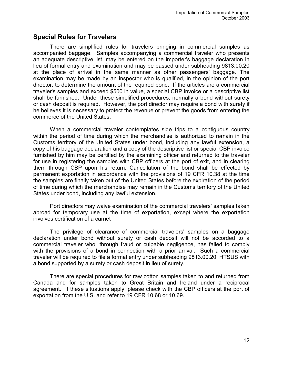#### <span id="page-11-0"></span>**Special Rules for Travelers**

There are simplified rules for travelers bringing in commercial samples as accompanied baggage. Samples accompanying a commercial traveler who presents an adequate descriptive list, may be entered on the importer's baggage declaration in lieu of formal entry and examination and may be passed under subheading 9813.00,20 at the place of arrival in the same manner as other passengers' baggage. The examination may be made by an inspector who is qualified, in the opinion of the port director, to determine the amount of the required bond. If the articles are a commercial traveler's samples and exceed \$500 in value, a special CBP invoice or a descriptive list shall be furnished. Under these simplified procedures, normally a bond without surety or cash deposit is required. However, the port director may require a bond with surety if he believes it is necessary to protect the revenue or prevent the goods from entering the commerce of the United States.

When a commercial traveler contemplates side trips to a contiguous country within the period of time during which the merchandise is authorized to remain in the Customs territory of the United States under bond, including any lawful extension, a copy of his baggage declaration and a copy of the descriptive list or special CBP invoice furnished by him may be certified by the examining officer and returned to the traveler for use in registering the samples with CBP officers at the port of exit, and in clearing them through CBP upon his return. Cancellation of the bond shall be effected by permanent exportation in accordance with the provisions of 19 CFR 10.38 at the time the samples are finally taken out of the United States before the expiration of the period of time during which the merchandise may remain in the Customs territory of the United States under bond, including any lawful extension.

Port directors may waive examination of the commercial travelers' samples taken abroad for temporary use at the time of exportation, except where the exportation involves certification of a carnet

The privilege of clearance of commercial travelers' samples on a baggage declaration under bond without surety or cash deposit will not be accorded to a commercial traveler who, through fraud or culpable negligence, has failed to comply with the provisions of a bond in connection with a prior arrival. Such a commercial traveler will be required to file a formal entry under subheading 9813.00.20, HTSUS with a bond supported by a surety or cash deposit in lieu of surety.

There are special procedures for raw cotton samples taken to and returned from Canada and for samples taken to Great Britain and Ireland under a reciprocal agreement. If these situations apply, please check with the CBP officers at the port of exportation from the U.S. and refer to 19 CFR 10.68 or 10.69.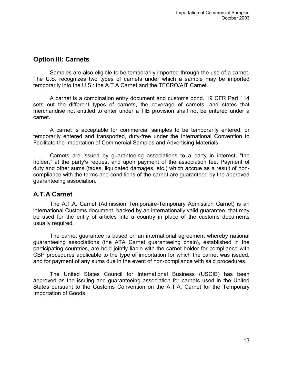## <span id="page-12-0"></span>**Option III: Carnets**

Samples are also eligible to be temporarily imported through the use of a carnet. The U.S. recognizes two types of carnets under which a sample may be imported temporarily into the U.S.: the A.T.A Carnet and the TECRO/AIT Carnet.

A carnet is a combination entry document and customs bond. 19 CFR Part 114 sets out the different types of carnets, the coverage of carnets, and states that merchandise not entitled to enter under a TIB provision shall not be entered under a carnet.

A carnet is acceptable for commercial samples to be temporarily entered, or temporarily entered and transported, duty-free under the International Convention to Facilitate the Importation of Commercial Samples and Advertising Materials

Carnets are issued by guaranteeing associations to a party in interest, "the holder," at the party's request and upon payment of the association fee. Payment of duty and other sums (taxes, liquidated damages, etc.) which accrue as a result of noncompliance with the terms and conditions of the carnet are guaranteed by the approved guaranteeing association.

## <span id="page-12-1"></span>**A.T.A Carnet**

The A.T.A. Carnet (Admission Temporaire-Temporary Admission Carnet) is an international Customs document, backed by an internationally valid guarantee, that may be used for the entry of articles into a country in place of the customs documents usually required.

The carnet guarantee is based on an international agreement whereby national guaranteeing associations (the ATA Carnet guaranteeing chain), established in the participating countries, are held jointly liable with the carnet holder for compliance with CBP procedures applicable to the type of importation for which the carnet was issued, and for payment of any sums due in the event of non-compliance with said procedures.

The United States Council for International Business (USCIB) has been approved as the issuing and guaranteeing association for carnets used in the United States pursuant to the Customs Convention on the A.T.A. Carnet for the Temporary Importation of Goods.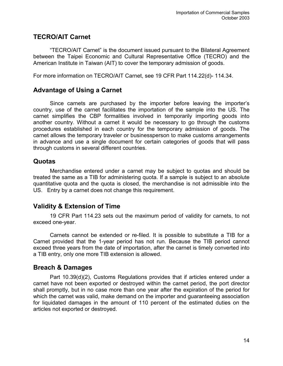#### <span id="page-13-0"></span>**TECRO/AIT Carnet**

"TECRO/AIT Carnet" is the document issued pursuant to the Bilateral Agreement between the Taipei Economic and Cultural Representative Office (TECRO) and the American Institute in Taiwan (AIT) to cover the temporary admission of goods.

For more information on TECRO/AIT Carnet, see 19 CFR Part 114.22(d)- 114.34.

## <span id="page-13-1"></span>**Advantage of Using a Carnet**

Since carnets are purchased by the importer before leaving the importer's country, use of the carnet facilitates the importation of the sample into the US. The carnet simplifies the CBP formalities involved in temporarily importing goods into another country. Without a carnet it would be necessary to go through the customs procedures established in each country for the temporary admission of goods. The carnet allows the temporary traveler or businessperson to make customs arrangements in advance and use a single document for certain categories of goods that will pass through customs in several different countries.

#### <span id="page-13-2"></span>**Quotas**

Merchandise entered under a carnet may be subject to quotas and should be treated the same as a TIB for administering quota. If a sample is subject to an absolute quantitative quota and the quota is closed, the merchandise is not admissible into the US. Entry by a carnet does not change this requirement.

## <span id="page-13-3"></span>**Validity & Extension of Time**

19 CFR Part 114.23 sets out the maximum period of validity for carnets, to not exceed one-year.

Carnets cannot be extended or re-filed. It is possible to substitute a TIB for a Carnet provided that the 1-year period has not run. Because the TIB period cannot exceed three years from the date of importation, after the carnet is timely converted into a TIB entry, only one more TIB extension is allowed.

#### <span id="page-13-4"></span>**Breach & Damages**

Part 10.39(d)(2), Customs Regulations provides that if articles entered under a carnet have not been exported or destroyed within the carnet period, the port director shall promptly, but in no case more than one year after the expiration of the period for which the carnet was valid, make demand on the importer and guaranteeing association for liquidated damages in the amount of 110 percent of the estimated duties on the articles not exported or destroyed.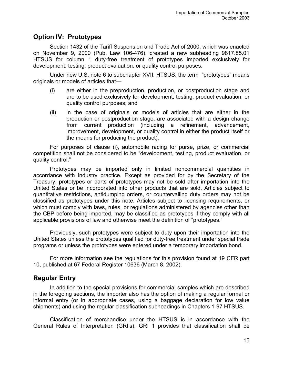## <span id="page-14-0"></span>**Option IV: Prototypes**

Section 1432 of the Tariff Suspension and Trade Act of 2000, which was enacted on November 9, 2000 (Pub. Law 106-476), created a new subheading 9817.85.01 HTSUS for column 1 duty-free treatment of prototypes imported exclusively for development, testing, product evaluation, or quality control purposes.

Under new U.S. note 6 to subchapter XVII, HTSUS, the term "prototypes" means originals or models of articles that—

- (i) are either in the preproduction, production, or postproduction stage and are to be used exclusively for development, testing, product evaluation, or quality control purposes; and
- (ii) in the case of originals or models of articles that are either in the production or postproduction stage, are associated with a design change from current production (including a refinement, advancement, improvement, development, or quality control in either the product itself or the means for producing the product).

For purposes of clause (i), automobile racing for purse, prize, or commercial competition shall not be considered to be "development, testing, product evaluation, or quality control."

Prototypes may be imported only in limited noncommercial quantities in accordance with industry practice. Except as provided for by the Secretary of the Treasury, prototypes or parts of prototypes may not be sold after importation into the United States or be incorporated into other products that are sold. Articles subject to quantitative restrictions, antidumping orders, or countervailing duty orders may not be classified as prototypes under this note. Articles subject to licensing requirements, or which must comply with laws, rules, or regulations administered by agencies other than the CBP before being imported, may be classified as prototypes if they comply with all applicable provisions of law and otherwise meet the definition of "prototypes."

Previously, such prototypes were subject to duty upon their importation into the United States unless the prototypes qualified for duty-free treatment under special trade programs or unless the prototypes were entered under a temporary importation bond.

For more information see the regulations for this provision found at 19 CFR part 10, published at 67 Federal Register 10636 (March 8, 2002).

# <span id="page-14-1"></span>**Regular Entry**

In addition to the special provisions for commercial samples which are described in the foregoing sections, the importer also has the option of making a regular formal or informal entry (or in appropriate cases, using a baggage declaration for low value shipments) and using the regular classification subheadings in Chapters 1-97 HTSUS.

Classification of merchandise under the HTSUS is in accordance with the General Rules of Interpretation (GRI's). GRI 1 provides that classification shall be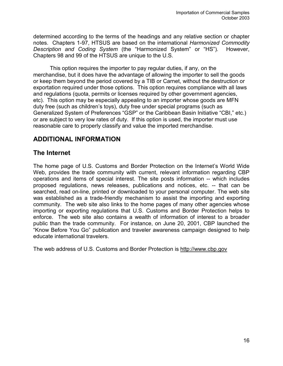determined according to the terms of the headings and any relative section or chapter notes. Chapters 1-97, HTSUS are based on the international *Harmonized Commodity Description and Coding System* (the "Harmonized System" or "HS")*.* However, Chapters 98 and 99 of the HTSUS are unique to the U.S.

This option requires the importer to pay regular duties, if any, on the merchandise, but it does have the advantage of allowing the importer to sell the goods or keep them beyond the period covered by a TIB or Carnet, without the destruction or exportation required under those options. This option requires compliance with all laws and regulations (quota, permits or licenses required by other government agencies, etc). This option may be especially appealing to an importer whose goods are MFN duty free (such as children's toys), duty free under special programs (such as Generalized System of Preferences "GSP" or the Caribbean Basin Initiative "CBI," etc.) or are subject to very low rates of duty. If this option is used, the importer must use reasonable care to properly classify and value the imported merchandise.

# <span id="page-15-0"></span>**ADDITIONAL INFORMATION**

## <span id="page-15-1"></span>**The Internet**

The home page of U.S. Customs and Border Protection on the Internet's World Wide Web, provides the trade community with current, relevant information regarding CBP operations and items of special interest. The site posts information -- which includes proposed regulations, news releases, publications and notices, etc. -- that can be searched, read on-line, printed or downloaded to your personal computer. The web site was established as a trade-friendly mechanism to assist the importing and exporting community. The web site also links to the home pages of many other agencies whose importing or exporting regulations that U.S. Customs and Border Protection helps to enforce. The web site also contains a wealth of information of interest to a broader public than the trade community. For instance, on June 20, 2001, CBP launched the "Know Before You Go" publication and traveler awareness campaign designed to help educate international travelers.

The web address of U.S. Customs and Border Protection is [http://www.cbp.gov](http://www.customs.ustreas.gov./)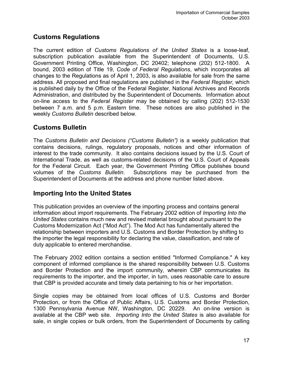## <span id="page-16-0"></span>**Customs Regulations**

The current edition of *Customs Regulations of the United States* is a loose-leaf, subscription publication available from the Superintendent of Documents, U.S. Government Printing Office, Washington, DC 20402; telephone (202) 512-1800. A bound, 2003 edition of Title 19, *Code of Federal Regulations*, which incorporates all changes to the Regulations as of April 1, 2003, is also available for sale from the same address. All proposed and final regulations are published in the *Federal Register*, which is published daily by the Office of the Federal Register, National Archives and Records Administration, and distributed by the Superintendent of Documents. Information about on-line access to the *Federal Register* may be obtained by calling (202) 512-1530 between 7 a.m. and 5 p.m. Eastern time. These notices are also published in the weekly *Customs Bulletin* described below.

## <span id="page-16-1"></span>**Customs Bulletin**

The *Customs Bulletin and Decisions ("Customs Bulletin")* is a weekly publication that contains decisions, rulings, regulatory proposals, notices and other information of interest to the trade community. It also contains decisions issued by the U.S. Court of International Trade, as well as customs-related decisions of the U.S. Court of Appeals for the Federal Circuit. Each year, the Government Printing Office publishes bound volumes of the *Customs Bulletin*. Subscriptions may be purchased from the Superintendent of Documents at the address and phone number listed above.

## <span id="page-16-2"></span>**Importing Into the United States**

This publication provides an overview of the importing process and contains general information about import requirements. The February 2002 edition of *Importing Into the United States* contains much new and revised material brought about pursuant to the Customs Modernization Act ("Mod Act"). The Mod Act has fundamentally altered the relationship between importers and U.S. Customs and Border Protection by shifting to the importer the legal responsibility for declaring the value, classification, and rate of duty applicable to entered merchandise.

The February 2002 edition contains a section entitled "Informed Compliance." A key component of informed compliance is the shared responsibility between U.S. Customs and Border Protection and the import community, wherein CBP communicates its requirements to the importer, and the importer, in turn, uses reasonable care to assure that CBP is provided accurate and timely data pertaining to his or her importation.

Single copies may be obtained from local offices of U.S. Customs and Border Protection, or from the Office of Public Affairs, U.S. Customs and Border Protection, 1300 Pennsylvania Avenue NW, Washington, DC 20229. An on-line version is available at the CBP web site. *Importing Into the United States* is also available for sale, in single copies or bulk orders, from the Superintendent of Documents by calling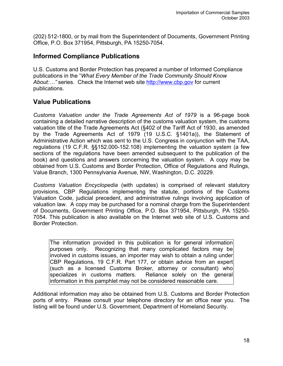(202) 512-1800, or by mail from the Superintendent of Documents, Government Printing Office, P.O. Box 371954, Pittsburgh, PA 15250-7054.

#### <span id="page-17-0"></span>**Informed Compliance Publications**

U.S. Customs and Border Protection has prepared a number of Informed Compliance publications in the "*What Every Member of the Trade Community Should Know About:…"* series. Check the Internet web site http://www.cbp.gov for current publications.

## <span id="page-17-1"></span>**Value Publications**

*Customs Valuation under the Trade Agreements Act of 1979* is a 96-page book containing a detailed narrative description of the customs valuation system, the customs valuation title of the Trade Agreements Act (§402 of the Tariff Act of 1930, as amended by the Trade Agreements Act of 1979 (19 U.S.C. §1401a)), the Statement of Administrative Action which was sent to the U.S. Congress in conjunction with the TAA, regulations (19 C.F.R. §§152.000-152.108) implementing the valuation system (a few sections of the regulations have been amended subsequent to the publication of the book) and questions and answers concerning the valuation system. A copy may be obtained from U.S. Customs and Border Protection, Office of Regulations and Rulings, Value Branch, 1300 Pennsylvania Avenue, NW, Washington, D.C. 20229.

*Customs Valuation Encyclopedia* (with updates) is comprised of relevant statutory provisions, CBP Regulations implementing the statute, portions of the Customs Valuation Code, judicial precedent, and administrative rulings involving application of valuation law. A copy may be purchased for a nominal charge from the Superintendent of Documents, Government Printing Office, P.O. Box 371954, Pittsburgh, PA 15250- 7054. This publication is also available on the Internet web site of U.S. Customs and Border Protection.

The information provided in this publication is for general information purposes only. Recognizing that many complicated factors may be involved in customs issues, an importer may wish to obtain a ruling under CBP Regulations, 19 C.F.R. Part 177, or obtain advice from an expert (such as a licensed Customs Broker, attorney or consultant) who specializes in customs matters. Reliance solely on the general information in this pamphlet may not be considered reasonable care.

Additional information may also be obtained from U.S. Customs and Border Protection ports of entry. Please consult your telephone directory for an office near you. The listing will be found under U.S. Government, Department of Homeland Security.